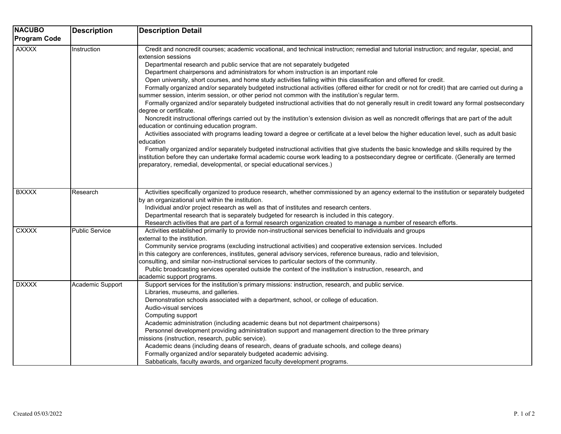| <b>NACUBO</b><br><b>Program Code</b> | <b>Description</b>    | <b>Description Detail</b>                                                                                                                                                                                                                                                                                                                                                                                                                                                                                                                                                                                                                                                                                                                                                                                                                                                                                                                                                                                                                                                                                                                                                                                                                                                                                                                                                                                                                                                                                                                                                                                                           |
|--------------------------------------|-----------------------|-------------------------------------------------------------------------------------------------------------------------------------------------------------------------------------------------------------------------------------------------------------------------------------------------------------------------------------------------------------------------------------------------------------------------------------------------------------------------------------------------------------------------------------------------------------------------------------------------------------------------------------------------------------------------------------------------------------------------------------------------------------------------------------------------------------------------------------------------------------------------------------------------------------------------------------------------------------------------------------------------------------------------------------------------------------------------------------------------------------------------------------------------------------------------------------------------------------------------------------------------------------------------------------------------------------------------------------------------------------------------------------------------------------------------------------------------------------------------------------------------------------------------------------------------------------------------------------------------------------------------------------|
| <b>AXXXX</b>                         | Instruction           | Credit and noncredit courses; academic vocational, and technical instruction; remedial and tutorial instruction; and regular, special, and<br>extension sessions<br>Departmental research and public service that are not separately budgeted<br>Department chairpersons and administrators for whom instruction is an important role<br>Open university, short courses, and home study activities falling within this classification and offered for credit.<br>Formally organized and/or separately budgeted instructional activities (offered either for credit or not for credit) that are carried out during a<br>summer session, interim session, or other period not common with the institution's regular term.<br>Formally organized and/or separately budgeted instructional activities that do not generally result in credit toward any formal postsecondary<br>degree or certificate.<br>Noncredit instructional offerings carried out by the institution's extension division as well as noncredit offerings that are part of the adult<br>education or continuing education program.<br>Activities associated with programs leading toward a degree or certificate at a level below the higher education level, such as adult basic<br>education<br>Formally organized and/or separately budgeted instructional activities that give students the basic knowledge and skills required by the<br>institution before they can undertake formal academic course work leading to a postsecondary degree or certificate. (Generally are termed<br>preparatory, remedial, developmental, or special educational services.) |
| <b>BXXXX</b>                         | Research              | Activities specifically organized to produce research, whether commissioned by an agency external to the institution or separately budgeted<br>by an organizational unit within the institution.<br>Individual and/or project research as well as that of institutes and research centers.<br>Departmental research that is separately budgeted for research is included in this category.<br>Research activities that are part of a formal research organization created to manage a number of research efforts.                                                                                                                                                                                                                                                                                                                                                                                                                                                                                                                                                                                                                                                                                                                                                                                                                                                                                                                                                                                                                                                                                                                   |
| <b>CXXXX</b>                         | <b>Public Service</b> | Activities established primarily to provide non-instructional services beneficial to individuals and groups<br>external to the institution.<br>Community service programs (excluding instructional activities) and cooperative extension services. Included<br>in this category are conferences, institutes, general advisory services, reference bureaus, radio and television,<br>consulting, and similar non-instructional services to particular sectors of the community.<br>Public broadcasting services operated outside the context of the institution's instruction, research, and<br>academic support programs.                                                                                                                                                                                                                                                                                                                                                                                                                                                                                                                                                                                                                                                                                                                                                                                                                                                                                                                                                                                                           |
| <b>DXXXX</b>                         | Academic Support      | Support services for the institution's primary missions: instruction, research, and public service.<br>Libraries, museums, and galleries.<br>Demonstration schools associated with a department, school, or college of education.<br>Audio-visual services<br>Computing support<br>Academic administration (including academic deans but not department chairpersons)<br>Personnel development providing administration support and management direction to the three primary<br>missions (instruction, research, public service).<br>Academic deans (including deans of research, deans of graduate schools, and college deans)<br>Formally organized and/or separately budgeted academic advising.<br>Sabbaticals, faculty awards, and organized faculty development programs.                                                                                                                                                                                                                                                                                                                                                                                                                                                                                                                                                                                                                                                                                                                                                                                                                                                    |